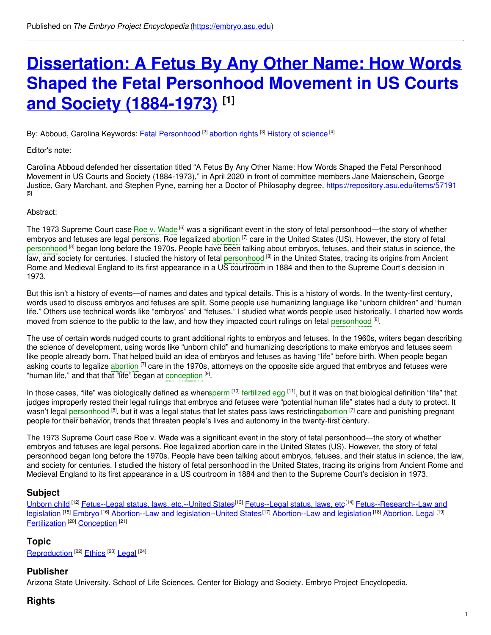# **[Dissertation:](https://embryo.asu.edu/pages/dissertation-fetus-any-other-name-how-words-shaped-fetal-personhood-movement-us-courts-and) A Fetus By Any Other Name: How Words Shaped the Fetal Personhood Movement in US Courts and Society (1884-1973) [1]**

By: Abboud, Carolina Keywords: *Fetal [Personhood](https://embryo.asu.edu/keywords/fetal-personhood)* <sup>[2]</sup> [abortion](https://embryo.asu.edu/keywords/abortion-rights) rights <sup>[3]</sup> History of [science](https://embryo.asu.edu/keywords/history-science) <sup>[4]</sup>

Editor's note:

Carolina Abboud defended her dissertation titled "A Fetus By Any Other Name: How Words Shaped the Fetal Personhood Movement in US Courts and Society (1884-1973)," in April 2020 in front of committee members Jane Maienschein, George Justice, Gary Marchant, and Stephen Pyne, earning her a Doctor of Philosophy degree. <https://repository.asu.edu/items/57191> [5]

#### Abstract:

The 1973 Supreme Court case Roe v. [Wade](https://embryo.asu.edu/search?text=Roe%20v.%20Wade) <sup>[6]</sup> was a significant event in the story of fetal personhood—the story of whether embryos and fetuses are legal persons. Roe legalized [abortion](https://embryo.asu.edu/search?text=abortion) <sup>[7]</sup> care in the United States (US). However, the story of fetal [personhood](https://embryo.asu.edu/search?text=personhood) <sup>[8]</sup> began long before the 1970s. People have been talking about embryos, fetuses, and their status in science, the law, and society for centuries. I studied the history of fetal [personhood](https://embryo.asu.edu/search?text=personhood) <sup>[8]</sup> in the United States, tracing its origins from Ancient Rome and Medieval England to its first appearance in a US courtroom in 1884 and then to the Supreme Court's decision in 1973.

But this isn't a history of events—of names and dates and typical details. This is a history of words. In the twenty-first century, words used to discuss embryos and fetuses are split. Some people use humanizing language like "unborn children" and "human life." Others use technical words like "embryos" and "fetuses." I studied what words people used historically. I charted how words moved from science to the public to the law, and how they impacted court rulings on fetal [personhood](https://embryo.asu.edu/search?text=personhood)<sup>[8]</sup>.

The use of certain words nudged courts to grant additional rights to embryos and fetuses. In the 1960s, writers began describing the science of development, using words like "unborn child" and humanizing descriptions to make embryos and fetuses seem like people already born. That helped build an idea of embryos and fetuses as having "life" before birth. When people began asking courts to legalize [abortion](https://embryo.asu.edu/search?text=abortion) <sup>[7]</sup> care in the 1970s, attorneys on the opposite side argued that embryos and fetuses were "human life," and that that "life" began at [conception](https://embryo.asu.edu/search?text=conception) [9].

In those cases, "life" was biologically defined as whe[nsperm](https://embryo.asu.edu/search?text=sperm) <sup>[10]</sup> [fertilized](https://embryo.asu.edu/search?text=fertilized%20egg) egg <sup>[11]</sup>, but it was on that biological definition "life" that judges improperly rested their legal rulings that embryos and fetuses were "potential human life" states had a duty to protect. It wasn't legal <mark>[personhood](https://embryo.asu.edu/search?text=personhood) <sup>[8]</sup>, but it was a legal status that let states pass laws restrictinga<mark>bortion [7]</mark> care and punishing pregnant</mark> people for their behavior, trends that threaten people's lives and autonomy in the twenty-first century.

The 1973 Supreme Court case Roe v. Wade was a significant event in the story of fetal personhood—the story of whether embryos and fetuses are legal persons. Roe legalized abortion care in the United States (US). However, the story of fetal personhood began long before the 1970s. People have been talking about embryos, fetuses, and their status in science, the law, and society for centuries. I studied the history of fetal personhood in the United States, tracing its origins from Ancient Rome and Medieval England to its first appearance in a US courtroom in 1884 and then to the Supreme Court's decision in 1973.

# **Subject**

[Unborn](https://embryo.asu.edu/library-congress-subject-headings/unborn-child) child <sup>[12]</sup> [Fetus--Legal](https://embryo.asu.edu/library-congress-subject-headings/fetus-legal-status-laws-etc) status, laws, etc.--United States<sup>[13]</sup> Fetus--Legal status, laws, etc<sup>[14]</sup> [Fetus--Research--Law](https://embryo.asu.edu/library-congress-subject-headings/fetus-research-law-and-legislation) and legislation <sup>[15]</sup> [Embryo](https://embryo.asu.edu/library-congress-subject-headings/embryo) <sup>[16]</sup> Abortion--Law and [legislation--United](https://embryo.asu.edu/library-congress-subject-headings/abortion-law-and-legislation-united-states) States<sup>[17]</sup> [Abortion--Law](https://embryo.asu.edu/library-congress-subject-headings/abortion-law-and-legislation) and legislation <sup>[18]</sup> [Abortion,](https://embryo.asu.edu/medical-subject-headings/abortion-legal) Legal <sup>[19]</sup> [Fertilization](https://embryo.asu.edu/medical-subject-headings/fertilization)<sup>[20]</sup> [Conception](https://embryo.asu.edu/medical-subject-headings/conception)<sup>[21]</sup>

# **Topic**

[Reproduction](https://embryo.asu.edu/topics/reproduction)<sup>[22]</sup> [Ethics](https://embryo.asu.edu/topics/ethics)<sup>[23]</sup> [Legal](https://embryo.asu.edu/topics/legal)<sup>[24]</sup>

# **Publisher**

Arizona State University. School of Life Sciences. Center for Biology and Society. Embryo Project Encyclopedia.

# **Rights**